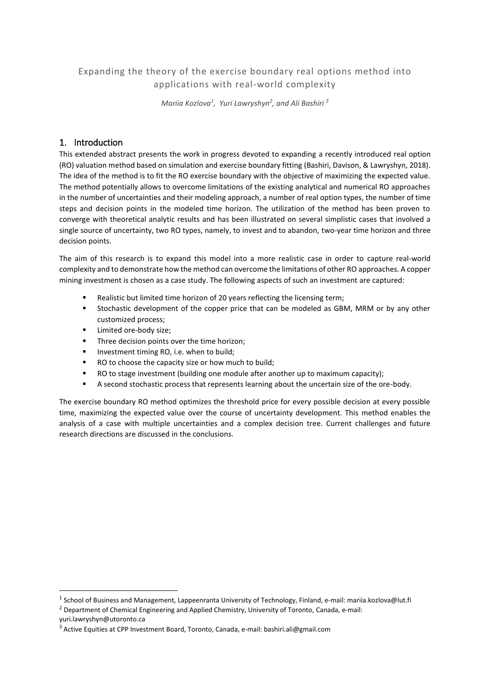# Expanding the theory of the exercise boundary real options method into applications with real-world complexity

*Mariia Kozlova<sup>1</sup> , Yuri Lawryshyn<sup>2</sup> , and Ali Bashiri <sup>3</sup>*

## 1. Introduction

This extended abstract presents the work in progress devoted to expanding a recently introduced real option (RO) valuation method based on simulation and exercise boundary fitting (Bashiri, Davison, & Lawryshyn, 2018). The idea of the method is to fit the RO exercise boundary with the objective of maximizing the expected value. The method potentially allows to overcome limitations of the existing analytical and numerical RO approaches in the number of uncertainties and their modeling approach, a number of real option types, the number of time steps and decision points in the modeled time horizon. The utilization of the method has been proven to converge with theoretical analytic results and has been illustrated on several simplistic cases that involved a single source of uncertainty, two RO types, namely, to invest and to abandon, two-year time horizon and three decision points.

The aim of this research is to expand this model into a more realistic case in order to capture real-world complexity and to demonstrate how the method can overcome the limitations of other RO approaches. A copper mining investment is chosen as a case study. The following aspects of such an investment are captured:

- Realistic but limited time horizon of 20 years reflecting the licensing term;
- Stochastic development of the copper price that can be modeled as GBM, MRM or by any other customized process;
- Limited ore-body size:

1

- Three decision points over the time horizon;
- Investment timing RO, i.e. when to build;
- RO to choose the capacity size or how much to build;
- RO to stage investment (building one module after another up to maximum capacity);
- A second stochastic process that represents learning about the uncertain size of the ore-body.

The exercise boundary RO method optimizes the threshold price for every possible decision at every possible time, maximizing the expected value over the course of uncertainty development. This method enables the analysis of a case with multiple uncertainties and a complex decision tree. Current challenges and future research directions are discussed in the conclusions.

<sup>&</sup>lt;sup>1</sup> School of Business and Management, Lappeenranta University of Technology, Finland, e-mail: mariia.kozlova@lut.fi

<sup>&</sup>lt;sup>2</sup> Department of Chemical Engineering and Applied Chemistry, University of Toronto, Canada, e-mail: yuri.lawryshyn@utoronto.ca

<sup>3</sup> Active Equities at CPP Investment Board, Toronto, Canada, e-mail[: bashiri.ali@gmail.com](mailto:bashiri.ali@gmail.com)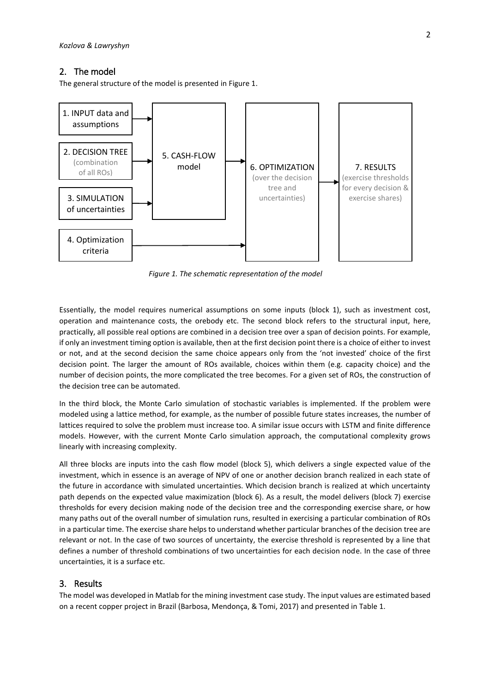## 2. The model

The general structure of the model is presented in Figure 1.



*Figure 1. The schematic representation of the model*

Essentially, the model requires numerical assumptions on some inputs (block 1), such as investment cost, operation and maintenance costs, the orebody etc. The second block refers to the structural input, here, practically, all possible real options are combined in a decision tree over a span of decision points. For example, if only an investment timing option is available, then at the first decision point there is a choice of either to invest or not, and at the second decision the same choice appears only from the 'not invested' choice of the first decision point. The larger the amount of ROs available, choices within them (e.g. capacity choice) and the number of decision points, the more complicated the tree becomes. For a given set of ROs, the construction of the decision tree can be automated.

In the third block, the Monte Carlo simulation of stochastic variables is implemented. If the problem were modeled using a lattice method, for example, as the number of possible future states increases, the number of lattices required to solve the problem must increase too. A similar issue occurs with LSTM and finite difference models. However, with the current Monte Carlo simulation approach, the computational complexity grows linearly with increasing complexity.

All three blocks are inputs into the cash flow model (block 5), which delivers a single expected value of the investment, which in essence is an average of NPV of one or another decision branch realized in each state of the future in accordance with simulated uncertainties. Which decision branch is realized at which uncertainty path depends on the expected value maximization (block 6). As a result, the model delivers (block 7) exercise thresholds for every decision making node of the decision tree and the corresponding exercise share, or how many paths out of the overall number of simulation runs, resulted in exercising a particular combination of ROs in a particular time. The exercise share helps to understand whether particular branches of the decision tree are relevant or not. In the case of two sources of uncertainty, the exercise threshold is represented by a line that defines a number of threshold combinations of two uncertainties for each decision node. In the case of three uncertainties, it is a surface etc.

#### 3. Results

The model was developed in Matlab for the mining investment case study. The input values are estimated based on a recent copper project in Brazil (Barbosa, Mendonça, & Tomi, 2017) and presented in Table 1.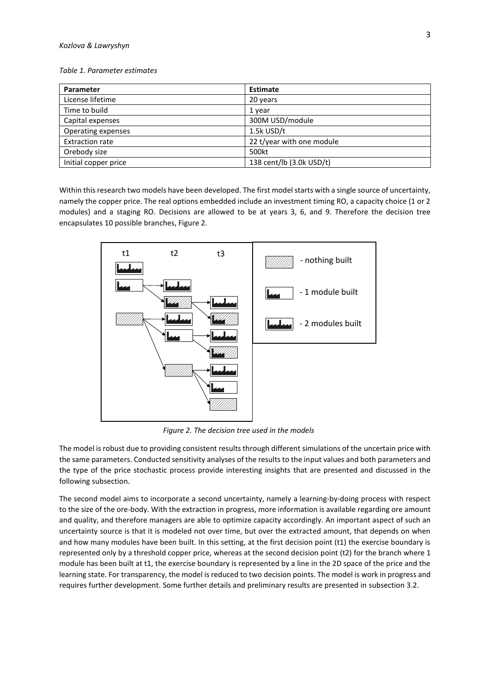#### *Table 1. Parameter estimates*

| Parameter              | <b>Estimate</b>           |  |  |
|------------------------|---------------------------|--|--|
| License lifetime       | 20 years                  |  |  |
| Time to build          | 1 year                    |  |  |
| Capital expenses       | 300M USD/module           |  |  |
| Operating expenses     | 1.5k USD/t                |  |  |
| <b>Extraction rate</b> | 22 t/year with one module |  |  |
| Orebody size           | 500kt                     |  |  |
| Initial copper price   | 138 cent/lb (3.0k USD/t)  |  |  |

Within this research two models have been developed. The first model starts with a single source of uncertainty, namely the copper price. The real options embedded include an investment timing RO, a capacity choice (1 or 2 modules) and a staging RO. Decisions are allowed to be at years 3, 6, and 9. Therefore the decision tree encapsulates 10 possible branches, Figure 2.



*Figure 2. The decision tree used in the models*

The model is robust due to providing consistent results through different simulations of the uncertain price with the same parameters. Conducted sensitivity analyses of the results to the input values and both parameters and the type of the price stochastic process provide interesting insights that are presented and discussed in the following subsection.

The second model aims to incorporate a second uncertainty, namely a learning-by-doing process with respect to the size of the ore-body. With the extraction in progress, more information is available regarding ore amount and quality, and therefore managers are able to optimize capacity accordingly. An important aspect of such an uncertainty source is that it is modeled not over time, but over the extracted amount, that depends on when and how many modules have been built. In this setting, at the first decision point (t1) the exercise boundary is represented only by a threshold copper price, whereas at the second decision point (t2) for the branch where 1 module has been built at t1, the exercise boundary is represented by a line in the 2D space of the price and the learning state. For transparency, the model is reduced to two decision points. The model is work in progress and requires further development. Some further details and preliminary results are presented in subsection 3.2.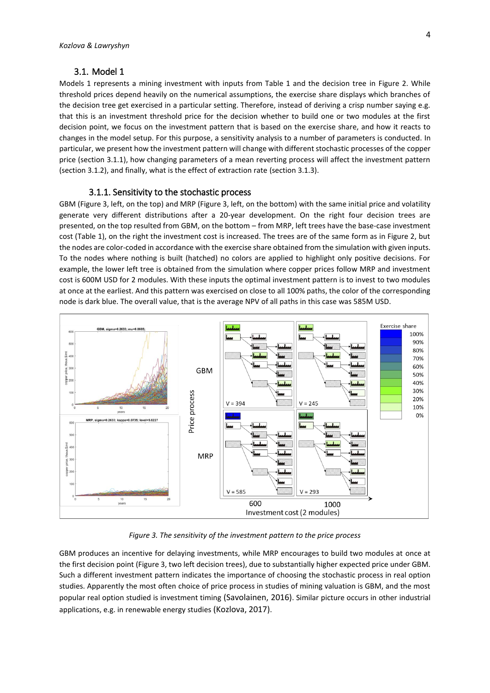### 3.1. Model 1

Models 1 represents a mining investment with inputs from Table 1 and the decision tree in Figure 2. While threshold prices depend heavily on the numerical assumptions, the exercise share displays which branches of the decision tree get exercised in a particular setting. Therefore, instead of deriving a crisp number saying e.g. that this is an investment threshold price for the decision whether to build one or two modules at the first decision point, we focus on the investment pattern that is based on the exercise share, and how it reacts to changes in the model setup. For this purpose, a sensitivity analysis to a number of parameters is conducted. In particular, we present how the investment pattern will change with different stochastic processes of the copper price (section 3.1.1), how changing parameters of a mean reverting process will affect the investment pattern (section 3.1.2), and finally, what is the effect of extraction rate (section 3.1.3).

#### 3.1.1. Sensitivity to the stochastic process

GBM (Figure 3, left, on the top) and MRP (Figure 3, left, on the bottom) with the same initial price and volatility generate very different distributions after a 20-year development. On the right four decision trees are presented, on the top resulted from GBM, on the bottom – from MRP, left trees have the base-case investment cost (Table 1), on the right the investment cost is increased. The trees are of the same form as in Figure 2, but the nodes are color-coded in accordance with the exercise share obtained from the simulation with given inputs. To the nodes where nothing is built (hatched) no colors are applied to highlight only positive decisions. For example, the lower left tree is obtained from the simulation where copper prices follow MRP and investment cost is 600M USD for 2 modules. With these inputs the optimal investment pattern is to invest to two modules at once at the earliest. And this pattern was exercised on close to all 100% paths, the color of the corresponding node is dark blue. The overall value, that is the average NPV of all paths in this case was 585M USD.



*Figure 3. The sensitivity of the investment pattern to the price process*

GBM produces an incentive for delaying investments, while MRP encourages to build two modules at once at the first decision point (Figure 3, two left decision trees), due to substantially higher expected price under GBM. Such a different investment pattern indicates the importance of choosing the stochastic process in real option studies. Apparently the most often choice of price process in studies of mining valuation is GBM, and the most popular real option studied is investment timing (Savolainen, 2016). Similar picture occurs in other industrial applications, e.g. in renewable energy studies (Kozlova, 2017).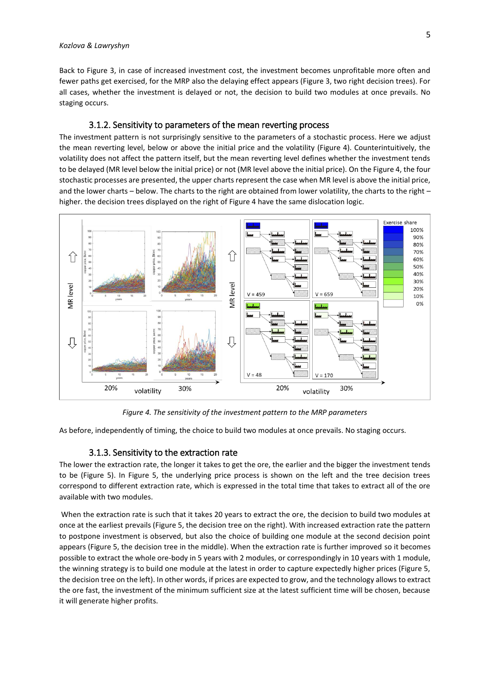Back to Figure 3, in case of increased investment cost, the investment becomes unprofitable more often and fewer paths get exercised, for the MRP also the delaying effect appears (Figure 3, two right decision trees). For all cases, whether the investment is delayed or not, the decision to build two modules at once prevails. No staging occurs.

## 3.1.2. Sensitivity to parameters of the mean reverting process

The investment pattern is not surprisingly sensitive to the parameters of a stochastic process. Here we adjust the mean reverting level, below or above the initial price and the volatility (Figure 4). Counterintuitively, the volatility does not affect the pattern itself, but the mean reverting level defines whether the investment tends to be delayed (MR level below the initial price) or not (MR level above the initial price). On the Figure 4, the four stochastic processes are presented, the upper charts represent the case when MR level is above the initial price, and the lower charts – below. The charts to the right are obtained from lower volatility, the charts to the right – higher. the decision trees displayed on the right of Figure 4 have the same dislocation logic.



*Figure 4. The sensitivity of the investment pattern to the MRP parameters*

As before, independently of timing, the choice to build two modules at once prevails. No staging occurs.

## 3.1.3. Sensitivity to the extraction rate

The lower the extraction rate, the longer it takes to get the ore, the earlier and the bigger the investment tends to be (Figure 5). In Figure 5, the underlying price process is shown on the left and the tree decision trees correspond to different extraction rate, which is expressed in the total time that takes to extract all of the ore available with two modules.

When the extraction rate is such that it takes 20 years to extract the ore, the decision to build two modules at once at the earliest prevails (Figure 5, the decision tree on the right). With increased extraction rate the pattern to postpone investment is observed, but also the choice of building one module at the second decision point appears (Figure 5, the decision tree in the middle). When the extraction rate is further improved so it becomes possible to extract the whole ore-body in 5 years with 2 modules, or correspondingly in 10 years with 1 module, the winning strategy is to build one module at the latest in order to capture expectedly higher prices (Figure 5, the decision tree on the left). In other words, if prices are expected to grow, and the technology allows to extract the ore fast, the investment of the minimum sufficient size at the latest sufficient time will be chosen, because it will generate higher profits.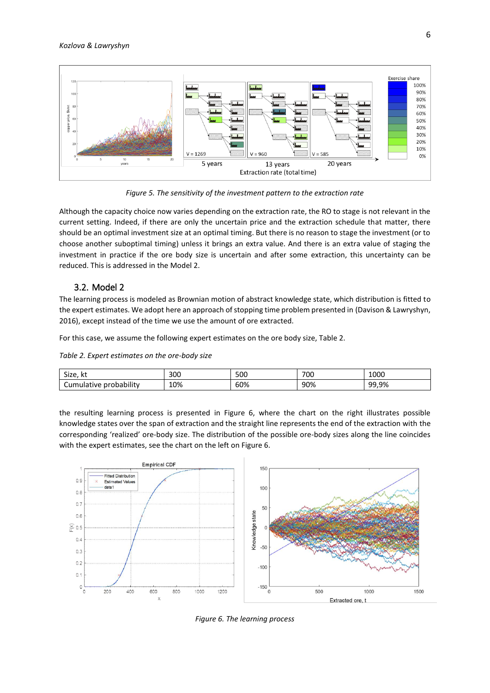

*Figure 5. The sensitivity of the investment pattern to the extraction rate*

Although the capacity choice now varies depending on the extraction rate, the RO to stage is not relevant in the current setting. Indeed, if there are only the uncertain price and the extraction schedule that matter, there should be an optimal investment size at an optimal timing. But there is no reason to stage the investment (or to choose another suboptimal timing) unless it brings an extra value. And there is an extra value of staging the investment in practice if the ore body size is uncertain and after some extraction, this uncertainty can be reduced. This is addressed in the Model 2.

## 3.2. Model 2

The learning process is modeled as Brownian motion of abstract knowledge state, which distribution is fitted to the expert estimates. We adopt here an approach of stopping time problem presented in (Davison & Lawryshyn, 2016), except instead of the time we use the amount of ore extracted.

For this case, we assume the following expert estimates on the ore body size, Table 2.

*Table 2. Expert estimates on the ore-body size*

| $\sim$<br>Size.<br>nι  | 300 | 500 | 700 | 1000  |
|------------------------|-----|-----|-----|-------|
| Cumulative probability | 10% | 60% | 90% | 99,9% |

the resulting learning process is presented in Figure 6, where the chart on the right illustrates possible knowledge states over the span of extraction and the straight line represents the end of the extraction with the corresponding 'realized' ore-body size. The distribution of the possible ore-body sizes along the line coincides with the expert estimates, see the chart on the left on Figure 6.



*Figure 6. The learning process*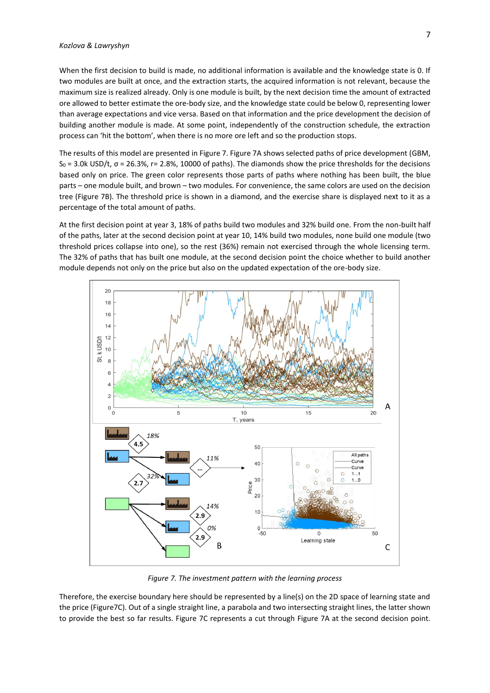When the first decision to build is made, no additional information is available and the knowledge state is 0. If two modules are built at once, and the extraction starts, the acquired information is not relevant, because the maximum size is realized already. Only is one module is built, by the next decision time the amount of extracted ore allowed to better estimate the ore-body size, and the knowledge state could be below 0, representing lower than average expectations and vice versa. Based on that information and the price development the decision of building another module is made. At some point, independently of the construction schedule, the extraction process can 'hit the bottom', when there is no more ore left and so the production stops.

The results of this model are presented in Figure 7. Figure 7A shows selected paths of price development (GBM,  $S_0 = 3.0$ k USD/t,  $\sigma = 26.3$ %,  $r = 2.8$ %, 10000 of paths). The diamonds show the price thresholds for the decisions based only on price. The green color represents those parts of paths where nothing has been built, the blue parts – one module built, and brown – two modules. For convenience, the same colors are used on the decision tree (Figure 7B). The threshold price is shown in a diamond, and the exercise share is displayed next to it as a percentage of the total amount of paths.

At the first decision point at year 3, 18% of paths build two modules and 32% build one. From the non-built half of the paths, later at the second decision point at year 10, 14% build two modules, none build one module (two threshold prices collapse into one), so the rest (36%) remain not exercised through the whole licensing term. The 32% of paths that has built one module, at the second decision point the choice whether to build another module depends not only on the price but also on the updated expectation of the ore-body size.



*Figure 7. The investment pattern with the learning process*

Therefore, the exercise boundary here should be represented by a line(s) on the 2D space of learning state and the price (Figure7C). Out of a single straight line, a parabola and two intersecting straight lines, the latter shown to provide the best so far results. Figure 7C represents a cut through Figure 7A at the second decision point.